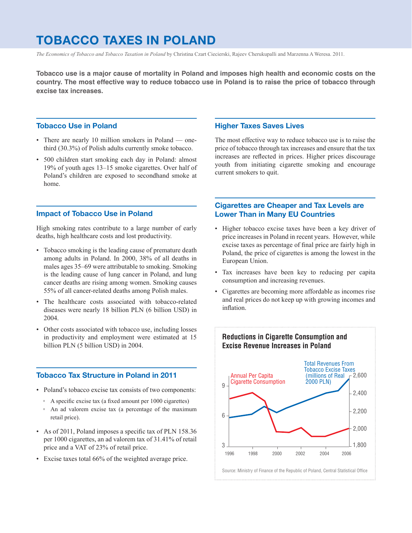## **TOBACCO TAXES IN POLAND**

*The Economics of Tobacco and Tobacco Taxation in Poland* by Christina Czart Ciecierski, Rajeev Cherukupalli and Marzenna A Weresa. 2011.

**Tobacco use is a major cause of mortality in Poland and imposes high health and economic costs on the country. The most effective way to reduce tobacco use in Poland is to raise the price of tobacco through excise tax increases.**

### **Tobacco Use in Poland**

- There are nearly 10 million smokers in Poland onethird (30.3%) of Polish adults currently smoke tobacco.
- • 500 children start smoking each day in Poland: almost 19% of youth ages 13–15 smoke cigarettes. Over half of Poland's children are exposed to secondhand smoke at home.

#### **Impact of Tobacco Use in Poland**

High smoking rates contribute to a large number of early deaths, high healthcare costs and lost productivity.

- Tobacco smoking is the leading cause of premature death among adults in Poland. In 2000, 38% of all deaths in males ages 35–69 were attributable to smoking. Smoking is the leading cause of lung cancer in Poland, and lung cancer deaths are rising among women. Smoking causes 55% of all cancer-related deaths among Polish males.
- The healthcare costs associated with tobacco-related diseases were nearly 18 billion PLN (6 billion USD) in 2004.
- • Other costs associated with tobacco use, including losses in productivity and employment were estimated at 15 billion PLN (5 billion USD) in 2004.

### **Tobacco Tax Structure in Poland in 2011**

- Poland's tobacco excise tax consists of two components:
	- A specific excise tax (a fixed amount per 1000 cigarettes)
	- An ad valorem excise tax (a percentage of the maximum retail price).
- As of 2011, Poland imposes a specific tax of PLN 158.36 per 1000 cigarettes, an ad valorem tax of 31.41% of retail price and a VAT of 23% of retail price.
- Excise taxes total 66% of the weighted average price.

#### **Higher Taxes Saves Lives**

The most effective way to reduce tobacco use is to raise the price of tobacco through tax increases and ensure that the tax increases are reflected in prices. Higher prices discourage youth from initiating cigarette smoking and encourage current smokers to quit.

## **Cigarettes are Cheaper and Tax Levels are Lower Than in Many EU Countries**

- • Higher tobacco excise taxes have been a key driver of price increases in Poland in recent years. However, while excise taxes as percentage of final price are fairly high in Poland, the price of cigarettes is among the lowest in the European Union.
- • Tax increases have been key to reducing per capita consumption and increasing revenues.
- • Cigarettes are becoming more affordable as incomes rise and real prices do not keep up with growing incomes and inflation.